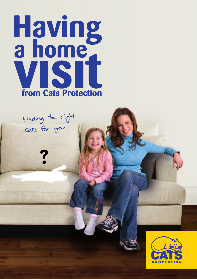



**?**

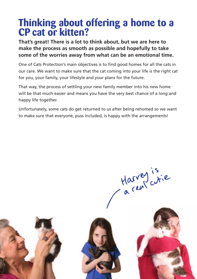### **Thinking about offering a home to a CP cat or kitten?**

**That's great! There is a lot to think about, but we are here to make the process as smooth as possible and hopefully to take some of the worries away from what can be an emotional time.**

One of Cats Protection's main objectives is to find good homes for all the cats in our care. We want to make sure that the cat coming into your life is the right cat for you, your family, your lifestyle and your plans for the future.

That way, the process of settling your new family member into his new home will be that much easier and means you have the very best chance of a long and happy life together.

Unfortunately, some cats do get returned to us after being rehomed so we want to make sure that everyone, puss included, is happy with the arrangements!

Harvey is





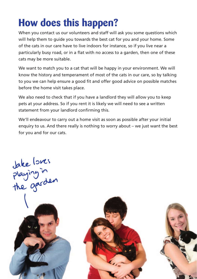# **How does this happen?**

When you contact us our volunteers and staff will ask you some questions which will help them to guide you towards the best cat for you and your home. Some of the cats in our care have to live indoors for instance, so if you live near a particularly busy road, or in a flat with no access to a garden, then one of these cats may be more suitable.

We want to match you to a cat that will be happy in your environment. We will know the history and temperament of most of the cats in our care, so by talking to you we can help ensure a good fit and offer good advice on possible matches before the home visit takes place.

We also need to check that if you have a landlord they will allow you to keep pets at your address. So if you rent it is likely we will need to see a written statement from your landlord confirming this.

We'll endeavour to carry out a home visit as soon as possible after your initial enquiry to us. And there really is nothing to worry about – we just want the best for you and for our cats.

take loves<br>playing in<br>the garden

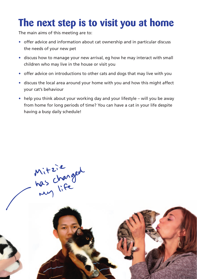## **The next step is to visit you at home**

The main aims of this meeting are to:

- • offer advice and information about cat ownership and in particular discuss the needs of your new pet
- discuss how to manage your new arrival, eg how he may interact with small children who may live in the house or visit you
- offer advice on introductions to other cats and dogs that may live with you
- • discuss the local area around your home with you and how this might affect your cat's behaviour
- $\bullet$  help you think about your working day and your lifestyle will you be away from home for long periods of time? You can have a cat in your life despite having a busy daily schedule!

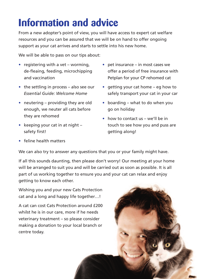# **Information and advice**

From a new adopter's point of view, you will have access to expert cat welfare resources and you can be assured that we will be on hand to offer ongoing support as your cat arrives and starts to settle into his new home.

We will be able to pass on our tips about:

- registering with a vet worming, de-fleaing, feeding, microchipping and vaccination
- $\bullet$  the settling in process also see our *Essential Guide: Welcome Home*
- neutering  $-$  providing they are old enough, we neuter all cats before they are rehomed
- keeping your cat in at night  $$ safety first!
- • feline health matters
- $\bullet$  pet insurance in most cases we offer a period of free insurance with Petplan for your CP rehomed cat
- getting your cat home eg how to safely transport your cat in your car
- boarding what to do when you go on holiday
- $\bullet$  how to contact us we'll be in touch to see how you and puss are getting along!

We can also try to answer any questions that you or your family might have.

If all this sounds daunting, then please don't worry! Our meeting at your home will be arranged to suit you and will be carried out as soon as possible. It is all part of us working together to ensure you and your cat can relax and enjoy getting to know each other.

Wishing you and your new Cats Protection cat and a long and happy life together…!

A cat can cost Cats Protection around £200 whilst he is in our care, more if he needs veterinary treatment – so please consider making a donation to your local branch or centre today.